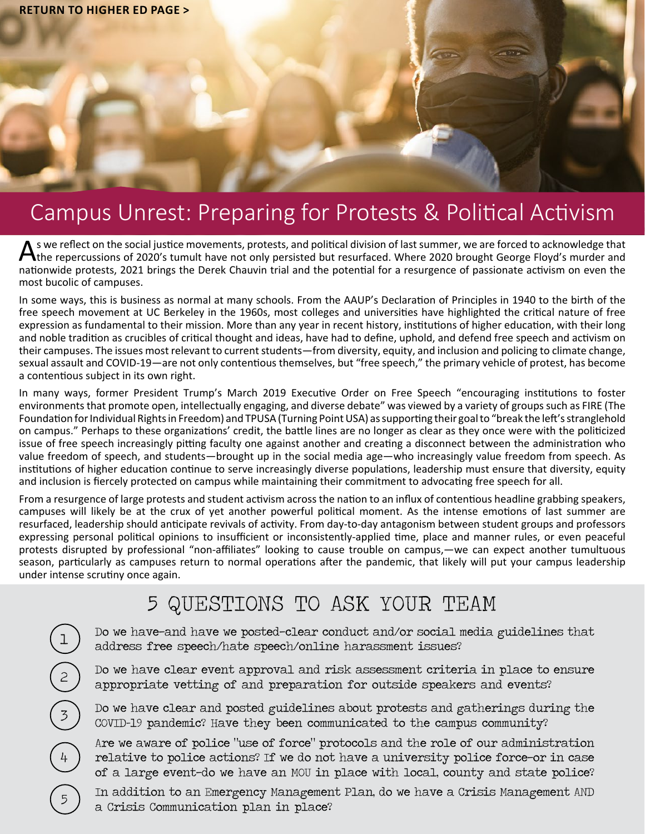

# Campus Unrest: Preparing for Protests & Political Activism

As we reflect on the social justice movements, protests, and political division of last summer, we are forced to acknowledge that<br>A the repercussions of 2020's tumult have not only persisted but resurfaced. Where 2020 brou nationwide protests, 2021 brings the Derek Chauvin trial and the potential for a resurgence of passionate activism on even the most bucolic of campuses.

In some ways, this is business as normal at many schools. From the AAUP's Declaration of Principles in 1940 to the birth of the free speech movement at UC Berkeley in the 1960s, most colleges and universities have highlighted the critical nature of free expression as fundamental to their mission. More than any year in recent history, institutions of higher education, with their long and noble tradition as crucibles of critical thought and ideas, have had to define, uphold, and defend free speech and activism on their campuses. The issues most relevant to current students—from diversity, equity, and inclusion and policing to climate change, sexual assault and COVID-19—are not only contentious themselves, but "free speech," the primary vehicle of protest, has become a contentious subject in its own right.

In many ways, former President Trump's March 2019 Executive Order on Free Speech "encouraging institutions to foster environments that promote open, intellectually engaging, and diverse debate" was viewed by a variety of groups such as FIRE (The Foundation for Individual Rights in Freedom) and TPUSA (Turning Point USA) as supporting their goal to "break the left's stranglehold on campus." Perhaps to these organizations' credit, the battle lines are no longer as clear as they once were with the politicized issue of free speech increasingly pitting faculty one against another and creating a disconnect between the administration who value freedom of speech, and students—brought up in the social media age—who increasingly value freedom from speech. As institutions of higher education continue to serve increasingly diverse populations, leadership must ensure that diversity, equity and inclusion is fiercely protected on campus while maintaining their commitment to advocating free speech for all.

From a resurgence of large protests and student activism across the nation to an influx of contentious headline grabbing speakers, campuses will likely be at the crux of yet another powerful political moment. As the intense emotions of last summer are resurfaced, leadership should anticipate revivals of activity. From day-to-day antagonism between student groups and professors expressing personal political opinions to insufficient or inconsistently-applied time, place and manner rules, or even peaceful protests disrupted by professional "non-affiliates" looking to cause trouble on campus,—we can expect another tumultuous season, particularly as campuses return to normal operations after the pandemic, that likely will put your campus leadership under intense scrutiny once again.

## 5 QUESTIONS TO ASK YOUR TEAM

Do we have-and have we posted-clear conduct and/or social media guidelines that address free speech/hate speech/online harassment issues?

Do we have clear event approval and risk assessment criteria in place to ensure appropriate vetting of and preparation for outside speakers and events?

Do we have clear and posted guidelines about protests and gatherings during the COVID-19 pandemic? Have they been communicated to the campus community?

Are we aware of police "use of force" protocols and the role of our administration relative to police actions? If we do not have a university police force-or in case of a large event—do we have an MOU in place with local, county and state police?

4

In addition to an Emergency Management Plan, do we have a Crisis Management AND a Crisis Communication plan in place?